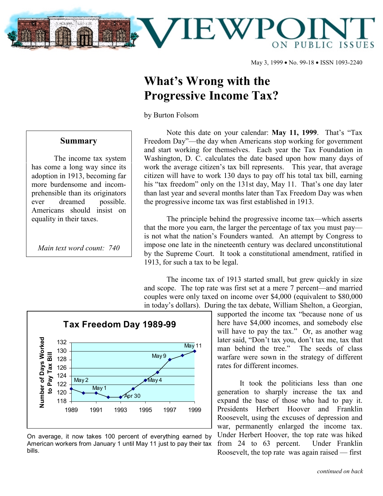

May 3, 1999 • No. 99-18 • ISSN 1093-2240

## **What's Wrong with the Progressive Income Tax?**

by Burton Folsom

## **Summary**

The income tax system has come a long way since its adoption in 1913, becoming far more burdensome and incomprehensible than its originators ever dreamed possible. Americans should insist on equality in their taxes.

*Main text word count: 740*

Note this date on your calendar: **May 11, 1999**. That's "Tax Freedom Day"—the day when Americans stop working for government and start working for themselves. Each year the Tax Foundation in Washington, D. C. calculates the date based upon how many days of work the average citizen's tax bill represents. This year, that average citizen will have to work 130 days to pay off his total tax bill, earning his "tax freedom" only on the 131st day, May 11. That's one day later than last year and several months later than Tax Freedom Day was when the progressive income tax was first established in 1913.

The principle behind the progressive income tax—which asserts that the more you earn, the larger the percentage of tax you must pay is not what the nation's Founders wanted. An attempt by Congress to impose one late in the nineteenth century was declared unconstitutional by the Supreme Court. It took a constitutional amendment, ratified in 1913, for such a tax to be legal.

The income tax of 1913 started small, but grew quickly in size and scope. The top rate was first set at a mere 7 percent—and married couples were only taxed on income over \$4,000 (equivalent to \$80,000 in today's dollars). During the tax debate, William Shelton, a Georgian,



On average, it now takes 100 percent of everything earned by American workers from January 1 until May 11 just to pay their tax bills.

supported the income tax "because none of us here have \$4,000 incomes, and somebody else will have to pay the tax." Or, as another wag later said, "Don't tax you, don't tax me, tax that man behind the tree." The seeds of class warfare were sown in the strategy of different rates for different incomes.

It took the politicians less than one generation to sharply increase the tax and expand the base of those who had to pay it. Presidents Herbert Hoover and Franklin Roosevelt, using the excuses of depression and war, permanently enlarged the income tax. Under Herbert Hoover, the top rate was hiked from 24 to 63 percent. Under Franklin Roosevelt, the top rate was again raised — first